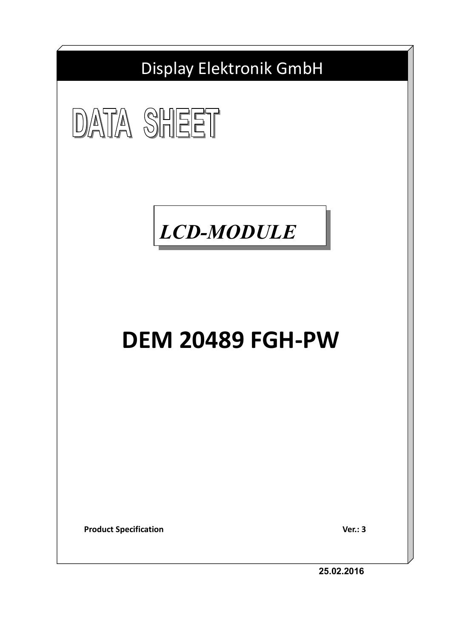





# **DEM 20489 FGH-PW**

**Product Specification** Ver.: 3

**25.02.2016**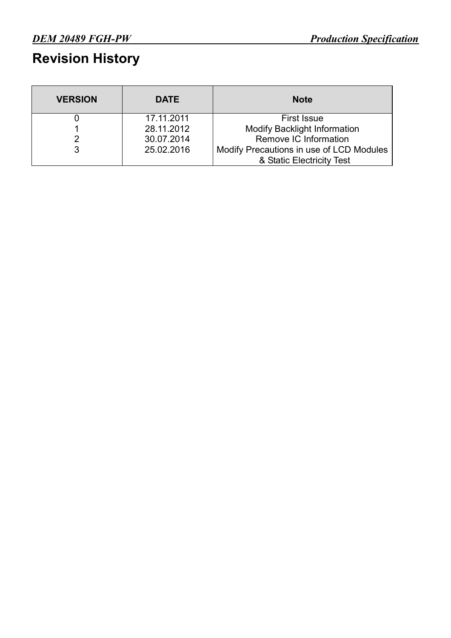### **Revision History**

| <b>VERSION</b> | <b>DATE</b> | <b>Note</b>                              |
|----------------|-------------|------------------------------------------|
|                | 17.11.2011  | <b>First Issue</b>                       |
|                | 28.11.2012  | <b>Modify Backlight Information</b>      |
|                | 30.07.2014  | Remove IC Information                    |
|                | 25.02.2016  | Modify Precautions in use of LCD Modules |
|                |             | & Static Electricity Test                |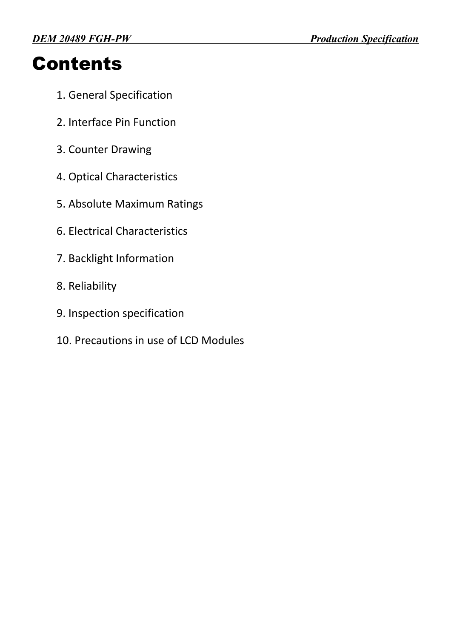## **Contents**

- 1. General Specification
- 2. Interface Pin Function
- 3. Counter Drawing
- 4. Optical Characteristics
- 5. Absolute Maximum Ratings
- 6. Electrical Characteristics
- 7. Backlight Information
- 8. Reliability
- 9. Inspection specification
- 10. Precautions in use of LCD Modules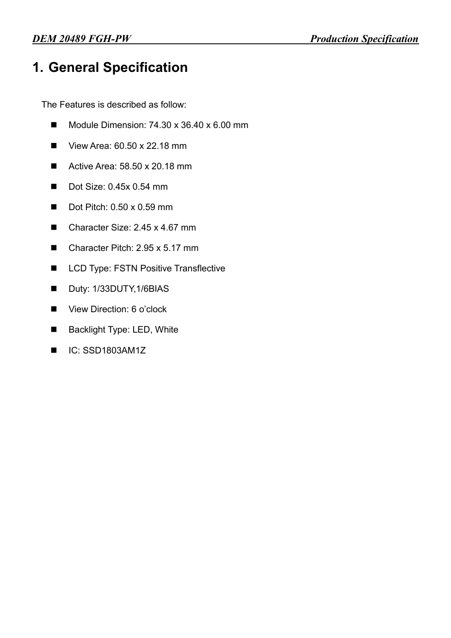### **1. General Specification**

The Features is described as follow:

- $\blacksquare$  Module Dimension: 74.30 x 36.40 x 6.00 mm
- $\blacksquare$  View Area: 60.50 x 22.18 mm
- Active Area:  $58.50 \times 20.18 \text{ mm}$
- $\blacksquare$  Dot Size: 0.45x 0.54 mm
- $\blacksquare$  Dot Pitch: 0.50 x 0.59 mm
- Character Size: 2.45 x 4.67 mm
- $\blacksquare$  Character Pitch: 2.95 x 5.17 mm
- **LCD Type: FSTN Positive Transflective**
- Duty: 1/33DUTY, 1/6BIAS
- View Direction: 6 o'clock
- Backlight Type: LED, White
- $IC:$  SSD1803AM1Z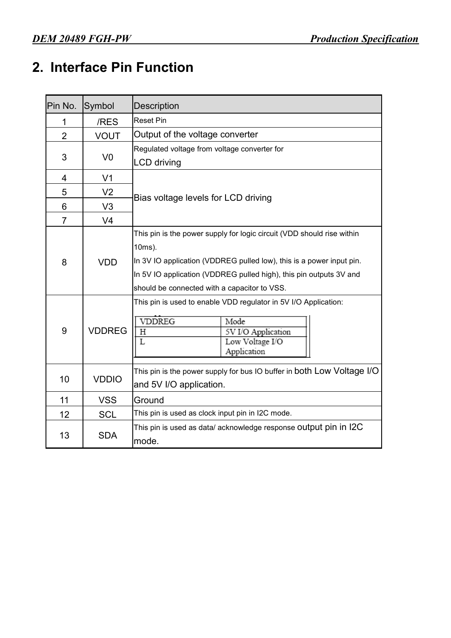### **2. Interface Pin Function**

| Pin No.        | Symbol         | <b>Description</b>                                                                                                                                                                                                                                                             |  |  |  |  |
|----------------|----------------|--------------------------------------------------------------------------------------------------------------------------------------------------------------------------------------------------------------------------------------------------------------------------------|--|--|--|--|
| 1              | /RES           | <b>Reset Pin</b>                                                                                                                                                                                                                                                               |  |  |  |  |
| $\overline{2}$ | <b>VOUT</b>    | Output of the voltage converter                                                                                                                                                                                                                                                |  |  |  |  |
|                |                | Regulated voltage from voltage converter for                                                                                                                                                                                                                                   |  |  |  |  |
| 3              | V <sub>0</sub> | <b>LCD</b> driving                                                                                                                                                                                                                                                             |  |  |  |  |
| 4              | V <sub>1</sub> |                                                                                                                                                                                                                                                                                |  |  |  |  |
| 5              | V <sub>2</sub> | Bias voltage levels for LCD driving                                                                                                                                                                                                                                            |  |  |  |  |
| 6              | V <sub>3</sub> |                                                                                                                                                                                                                                                                                |  |  |  |  |
| $\overline{7}$ | V <sub>4</sub> |                                                                                                                                                                                                                                                                                |  |  |  |  |
| 8              | <b>VDD</b>     | This pin is the power supply for logic circuit (VDD should rise within<br>10ms).<br>In 3V IO application (VDDREG pulled low), this is a power input pin.<br>In 5V IO application (VDDREG pulled high), this pin outputs 3V and<br>should be connected with a capacitor to VSS. |  |  |  |  |
| 9              | <b>VDDREG</b>  | This pin is used to enable VDD regulator in 5V I/O Application:<br><b>VDDREG</b><br>Mode<br>5V I/O Application<br>Η<br>$\overline{L}$<br>Low Voltage I/O<br>Application                                                                                                        |  |  |  |  |
| 10             | <b>VDDIO</b>   | This pin is the power supply for bus IO buffer in both Low Voltage I/O<br>and 5V I/O application.                                                                                                                                                                              |  |  |  |  |
| 11             | <b>VSS</b>     | Ground                                                                                                                                                                                                                                                                         |  |  |  |  |
| 12             | <b>SCL</b>     | This pin is used as clock input pin in I2C mode.                                                                                                                                                                                                                               |  |  |  |  |
| 13             | <b>SDA</b>     | This pin is used as data/ acknowledge response Output pin in I2C<br>mode.                                                                                                                                                                                                      |  |  |  |  |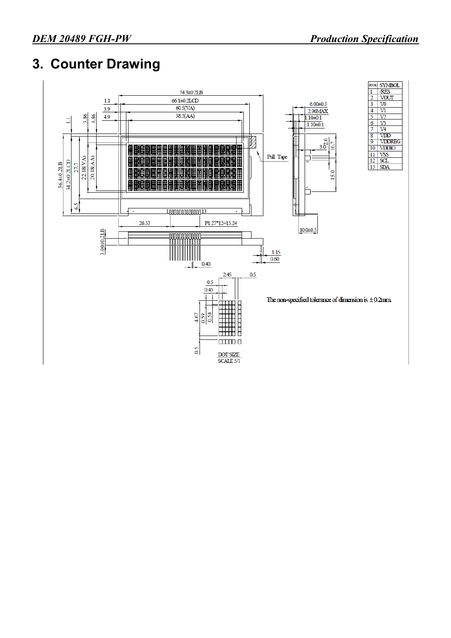### **3. Counter Drawing**

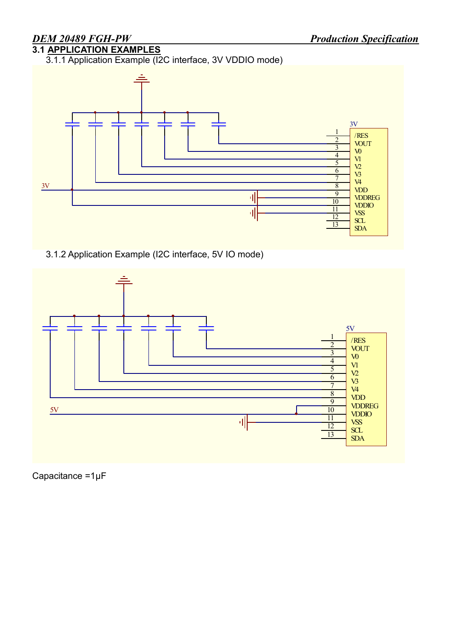### **3.1 APPLICATION EXAMPLES**

3.1.1 Application Example (I2C interface, 3V VDDIO mode)



3.1.2 Application Example (I2C interface, 5V IO mode)



Capacitance =1μF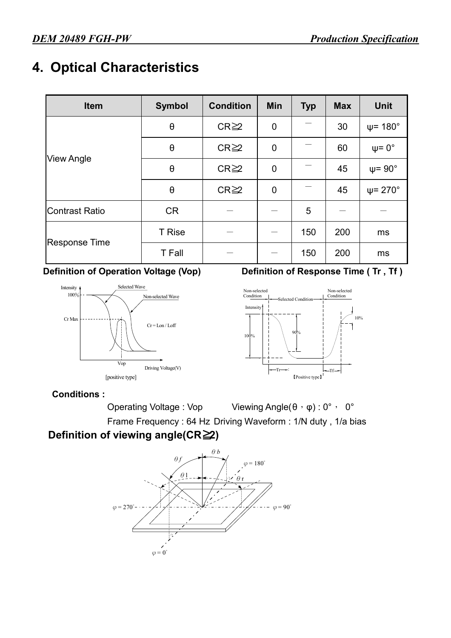### **4. Optical Characteristics**

| Item                  | <b>Symbol</b>         | <b>Condition</b> | <b>Min</b>  | <b>Typ</b> | <b>Max</b> | <b>Unit</b>             |
|-----------------------|-----------------------|------------------|-------------|------------|------------|-------------------------|
|                       | $\boldsymbol{\theta}$ | $CR \geq 2$      | $\mathbf 0$ |            | 30         | $\psi$ = 180 $^{\circ}$ |
|                       | $\theta$              | $CR \geq 2$      | $\mathbf 0$ |            | 60         | $\psi = 0^{\circ}$      |
| <b>View Angle</b>     | $\boldsymbol{\theta}$ | $CR \geq 2$      | 0           |            | 45         | $\psi$ = 90 $^{\circ}$  |
|                       | $\theta$              | $CR \geq 2$      | $\mathbf 0$ |            | 45         | $\psi$ = 270 $^{\circ}$ |
| <b>Contrast Ratio</b> | <b>CR</b>             |                  |             | 5          |            |                         |
|                       | <b>T</b> Rise         |                  |             | 150        | 200        | ms                      |
| <b>Response Time</b>  | <b>T</b> Fall         |                  |             | 150        | 200        | ms                      |



#### **Definition of Operation Voltage (Vop) Definition of Response Time (Tr, Tf)**



#### **Conditions :**

Operating Voltage : Vop Viewing Angle(θ, φ) : 0°, 0° Frame Frequency : 64 Hz Driving Waveform : 1/N duty , 1/a bias

#### **Definition of viewing angle(CR≧2)**

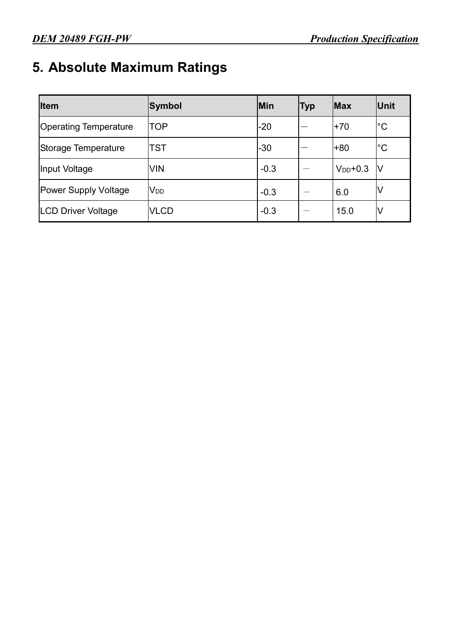### **5. Absolute Maximum Ratings**

| <b>Item</b>                  | Symbol          | Min    | Тур | <b>Max</b>    | Unit          |
|------------------------------|-----------------|--------|-----|---------------|---------------|
| <b>Operating Temperature</b> | TOP             | $-20$  |     | $+70$         | ${}^{\circ}C$ |
| Storage Temperature          | TST             | $-30$  |     | +80           | $^{\circ}C$   |
| Input Voltage                | <b>VIN</b>      | $-0.3$ |     | $V_{DD}$ +0.3 | IV            |
| <b>Power Supply Voltage</b>  | V <sub>DD</sub> | $-0.3$ |     | 6.0           | V             |
| <b>LCD Driver Voltage</b>    | <b>VLCD</b>     | $-0.3$ |     | 15.0          | V             |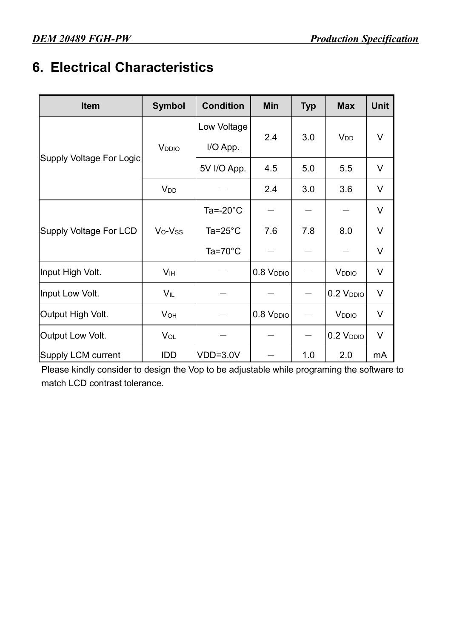### **6. Electrical Characteristics**

| <b>Item</b>                   | <b>Symbol</b>          | <b>Condition</b>   | Min                                                                                                                                                      | <b>Typ</b> | <b>Max</b>                                                                                                                            | <b>Unit</b> |
|-------------------------------|------------------------|--------------------|----------------------------------------------------------------------------------------------------------------------------------------------------------|------------|---------------------------------------------------------------------------------------------------------------------------------------|-------------|
|                               |                        | Low Voltage        |                                                                                                                                                          |            |                                                                                                                                       |             |
|                               | V <sub>DDIO</sub>      | I/O App.           |                                                                                                                                                          |            |                                                                                                                                       |             |
| Supply Voltage For Logic      |                        | 5V I/O App.        | 4.5                                                                                                                                                      | 5.0        | 5.5                                                                                                                                   | $\vee$      |
|                               | <b>V</b> <sub>DD</sub> |                    | 2.4                                                                                                                                                      | 3.0        | <b>V<sub>DD</sub></b><br>3.6<br>8.0<br>V <sub>DDIO</sub><br>0.2 V <sub>DDIO</sub><br><b>V</b> <sub>DDIO</sub><br>$0.2$ $VDDIO$<br>2.0 | $\vee$      |
|                               | Ta=-20 $^{\circ}$ C    |                    |                                                                                                                                                          |            |                                                                                                                                       | V           |
| <b>Supply Voltage For LCD</b> | Vo-Vss                 | Ta= $25^{\circ}$ C | 7.6                                                                                                                                                      | 7.8        |                                                                                                                                       | V           |
|                               |                        | $Ta=70^{\circ}C$   | 3.0<br>V<br>2.4<br>V<br>$\vee$<br>0.8 V <sub>DDIO</sub><br>$\vee$<br>$\vee$<br>0.8 V <sub>DDIO</sub><br>$\vee$<br>$\hspace{0.1mm}-\hspace{0.1mm}$<br>1.0 |            |                                                                                                                                       |             |
| Input High Volt.              | <b>V<sub>IH</sub></b>  |                    |                                                                                                                                                          |            |                                                                                                                                       |             |
| Input Low Volt.               | $V_{IL}$               |                    |                                                                                                                                                          |            |                                                                                                                                       |             |
| Output High Volt.             | V <sub>OH</sub>        |                    |                                                                                                                                                          |            |                                                                                                                                       |             |
| Output Low Volt.              | V <sub>OL</sub>        |                    |                                                                                                                                                          |            |                                                                                                                                       |             |
| <b>Supply LCM current</b>     | IDD                    | $VDD=3.0V$         |                                                                                                                                                          |            |                                                                                                                                       | mA          |

Please kindly consider to design the Vop to be adjustable while programing the software to match LCD contrast tolerance.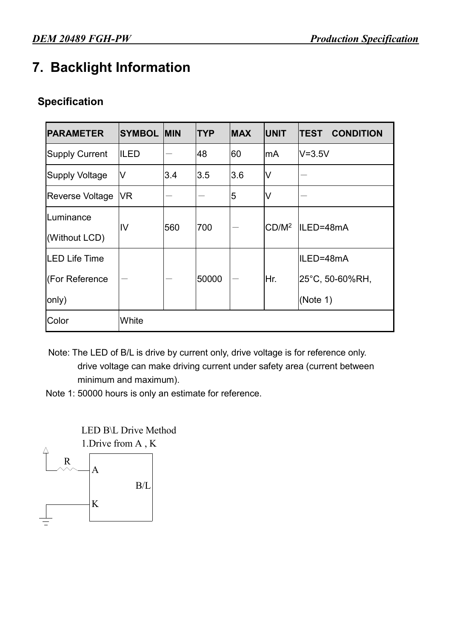### **7. Backlight Information**

#### **Specification**

| <b>PARAMETER</b>       | <b>SYMBOL</b> | <b>IMIN</b> | <b>TYP</b> | <b>MAX</b> | <b>UNIT</b> | <b>CONDITION</b><br><b>TEST</b> |
|------------------------|---------------|-------------|------------|------------|-------------|---------------------------------|
| <b>Supply Current</b>  | ILED          |             | 48         | 60         | lmA         | $V = 3.5V$                      |
| <b>Supply Voltage</b>  | V             | 3.4         | 3.5        | 3.6        | V           |                                 |
| <b>Reverse Voltage</b> | <b>VR</b>     |             |            | 5          | V           |                                 |
| Luminance              | IV            | 560         | 700        |            | $CD/M^2$    | ILED=48mA                       |
| (Without LCD)          |               |             |            |            |             |                                 |
| <b>LED Life Time</b>   |               |             |            |            |             | ILED=48mA                       |
| (For Reference         |               |             | 50000      |            | Hr.         | 25°C, 50-60%RH,                 |
| only)                  |               |             |            |            |             | (Note 1)                        |
| Color                  | White         |             |            |            |             |                                 |

Note: The LED of B/L is drive by current only, drive voltage is for reference only. drive voltage can make driving current under safety area (current between minimum and maximum).

Note 1: 50000 hours is only an estimate for reference.

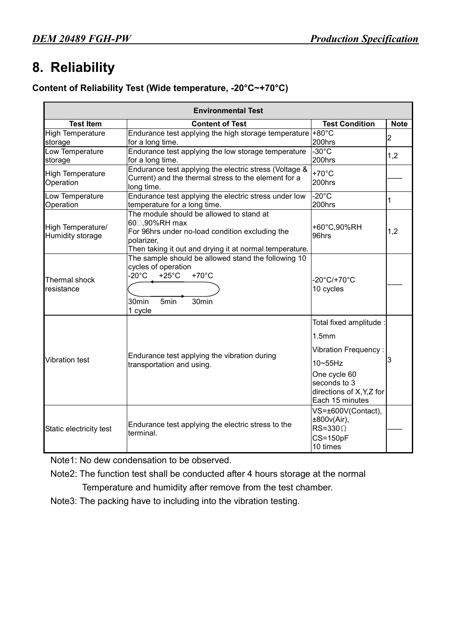### **8. Reliability**

#### **Content of Reliability Test (Wide temperature, -20°C~+70°C)**

|                                       | <b>Environmental Test</b>                                                                                                                                                                                    |                                                                                                                                                                                |                |
|---------------------------------------|--------------------------------------------------------------------------------------------------------------------------------------------------------------------------------------------------------------|--------------------------------------------------------------------------------------------------------------------------------------------------------------------------------|----------------|
| <b>Test Item</b>                      | <b>Content of Test</b>                                                                                                                                                                                       | <b>Test Condition</b>                                                                                                                                                          | <b>Note</b>    |
| <b>High Temperature</b><br>storage    | Endurance test applying the high storage temperature +80 $^{\circ}$ C<br>for a long time.                                                                                                                    | 200hrs                                                                                                                                                                         | $\overline{2}$ |
| Low Temperature<br>storage            | Endurance test applying the low storage temperature<br>for a long time.                                                                                                                                      | $-30^{\circ}$ C<br>200hrs                                                                                                                                                      | 1,2            |
| <b>High Temperature</b><br>Operation  | Endurance test applying the electric stress (Voltage &<br>Current) and the thermal stress to the element for a<br>long time.                                                                                 | $+70^{\circ}$ C<br>200hrs                                                                                                                                                      |                |
| Low Temperature<br>Operation          | Endurance test applying the electric stress under low<br>temperature for a long time.                                                                                                                        | $-20^{\circ}$ C<br>200hrs                                                                                                                                                      | 1              |
| High Temperature/<br>Humidity storage | The module should be allowed to stand at<br>60□,90%RH max<br>For 96hrs under no-load condition excluding the<br>polarizer,<br>Then taking it out and drying it at normal temperature.                        | +60°C,90%RH<br>96hrs                                                                                                                                                           | 1,2            |
| Thermal shock<br>resistance           | The sample should be allowed stand the following 10<br>cycles of operation<br>$-20^{\circ}$ C<br>$+25^{\circ}$ C<br>$+70^{\circ}$ C<br>30 <sub>min</sub><br>5 <sub>min</sub><br>30 <sub>min</sub><br>1 cycle | -20°C/+70°C<br>10 cycles                                                                                                                                                       |                |
| <b>Vibration test</b>                 | Endurance test applying the vibration during<br>transportation and using.                                                                                                                                    | Total fixed amplitude :<br>1.5 <sub>mm</sub><br><b>Vibration Frequency:</b><br>$10 \sim 55$ Hz<br>One cycle 60<br>seconds to 3<br>directions of X, Y, Z for<br>Each 15 minutes | 3              |
| Static electricity test               | Endurance test applying the electric stress to the<br>terminal.                                                                                                                                              | VS=±600V(Contact),<br>±800v(Air),<br>$RS = 330 \Omega$<br>$CS = 150pF$<br>10 times                                                                                             |                |

Note1: No dew condensation to be observed.

Note2: The function test shall be conducted after 4 hours storage at the normal Temperature and humidity after remove from the test chamber.

Note3: The packing have to including into the vibration testing.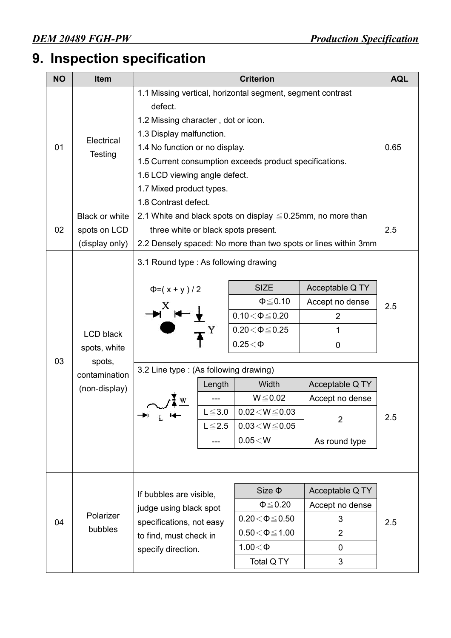## **9. Inspection specification**

| <b>NO</b> | Item                                                                         | <b>Criterion</b>                                                                                                                                                                                  |                                              |                                                                                                                                                                                                   |                                                                                                                                                   |            |
|-----------|------------------------------------------------------------------------------|---------------------------------------------------------------------------------------------------------------------------------------------------------------------------------------------------|----------------------------------------------|---------------------------------------------------------------------------------------------------------------------------------------------------------------------------------------------------|---------------------------------------------------------------------------------------------------------------------------------------------------|------------|
| 01        | Electrical<br><b>Testing</b>                                                 | defect.<br>1.2 Missing character, dot or icon.<br>1.3 Display malfunction.<br>1.4 No function or no display.<br>1.6 LCD viewing angle defect.<br>1.7 Mixed product types.<br>1.8 Contrast defect. |                                              | 1.1 Missing vertical, horizontal segment, segment contrast<br>1.5 Current consumption exceeds product specifications.                                                                             |                                                                                                                                                   | 0.65       |
| 02        | Black or white<br>spots on LCD<br>(display only)                             | three white or black spots present.                                                                                                                                                               |                                              | 2.1 White and black spots on display $\leq 0.25$ mm, no more than                                                                                                                                 | 2.2 Densely spaced: No more than two spots or lines within 3mm                                                                                    | 2.5        |
| 03        | <b>LCD black</b><br>spots, white<br>spots,<br>contamination<br>(non-display) | 3.1 Round type : As following drawing<br>$\Phi = (x + y)/2$<br>3.2 Line type: (As following drawing)<br>→⊓ r—                                                                                     | Length<br>$L \le 3.0$<br>$L \leq 2.5$<br>--- | <b>SIZE</b><br>$\Phi \leq 0.10$<br>$0.10\!<\!\Phi\!\leq\!0.20$<br>$0.20 \le \Phi \le 0.25$<br>$0.25<\Phi$<br>Width<br>$W \le 0.02$<br>$0.02\!<\!W\!\leq\!0.03$<br>$0.03 < W \le 0.05$<br>0.05 < W | Acceptable Q TY<br>Accept no dense<br>$\overline{2}$<br>1<br>$\mathbf 0$<br>Acceptable Q TY<br>Accept no dense<br>$\overline{2}$<br>As round type | 2.5<br>2.5 |
| 04        | Polarizer<br>bubbles                                                         | If bubbles are visible,<br>judge using black spot<br>specifications, not easy<br>to find, must check in<br>specify direction.                                                                     |                                              | $Size \Phi$<br>$\Phi \leq 0.20$<br>$0.20\!<\!\Phi\!\leq\!0.50$<br>$0.50\!<\!\Phi\!\leq\!1.00$<br>$1.00<\Phi$<br>Total Q TY                                                                        | Acceptable Q TY<br>Accept no dense<br>3<br>$\overline{2}$<br>0<br>3                                                                               | 2.5        |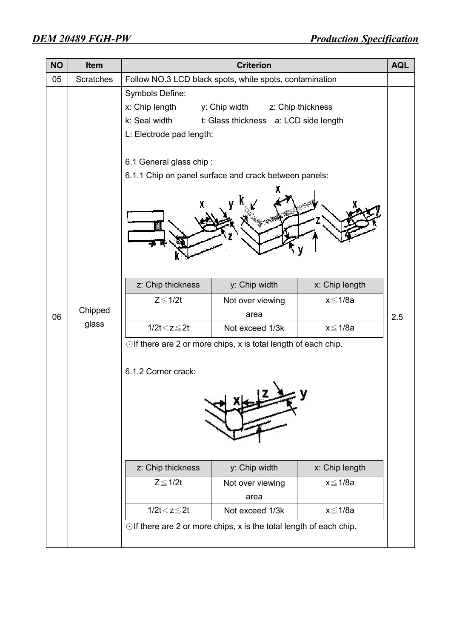| <b>NO</b> | Item             | <b>Criterion</b>                                                                |                                                                                                                                                                                                                    |                                           |     |  |  |
|-----------|------------------|---------------------------------------------------------------------------------|--------------------------------------------------------------------------------------------------------------------------------------------------------------------------------------------------------------------|-------------------------------------------|-----|--|--|
| 05        | <b>Scratches</b> |                                                                                 | Follow NO.3 LCD black spots, white spots, contamination                                                                                                                                                            |                                           |     |  |  |
|           |                  | Symbols Define:<br>x: Chip length<br>k: Seal width<br>L: Electrode pad length:  | y: Chip width<br>t: Glass thickness a: LCD side length                                                                                                                                                             | z: Chip thickness                         |     |  |  |
|           |                  | 6.1 General glass chip:                                                         | 6.1.1 Chip on panel surface and crack between panels:                                                                                                                                                              |                                           |     |  |  |
|           |                  | z: Chip thickness                                                               | y: Chip width                                                                                                                                                                                                      | x: Chip length                            |     |  |  |
| 06        | Chipped          | $Z \leq 1/2t$                                                                   | Not over viewing<br>area                                                                                                                                                                                           | $x \leq 1/8a$                             | 2.5 |  |  |
|           | glass            | $1/2t < z \leq 2t$                                                              | Not exceed 1/3k                                                                                                                                                                                                    | x≦1/8a                                    |     |  |  |
|           |                  | 6.1.2 Corner crack:<br>z: Chip thickness<br>$Z \leq 1/2t$<br>$1/2t < z \leq 2t$ | $\odot$ If there are 2 or more chips, x is total length of each chip.<br>y: Chip width<br>Not over viewing<br>area<br>Not exceed 1/3k<br>$\odot$ If there are 2 or more chips, x is the total length of each chip. | x: Chip length<br>x≦1/8a<br>$x \leq 1/8a$ |     |  |  |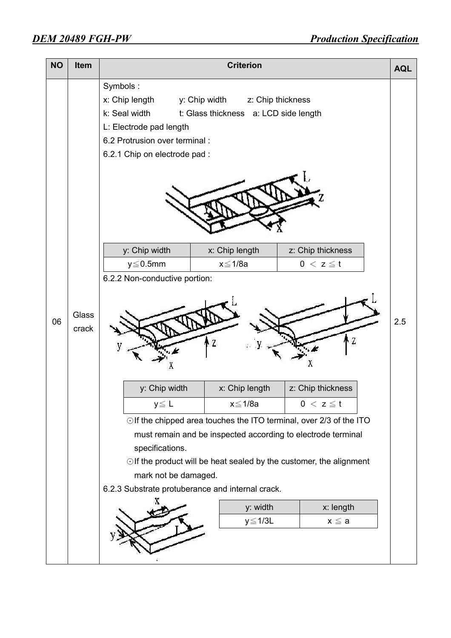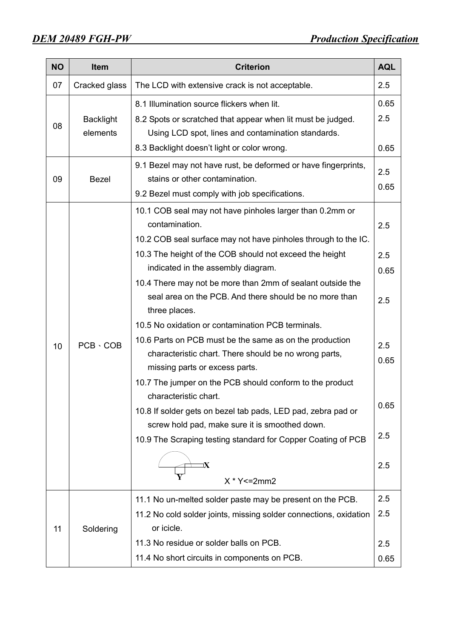| <b>NO</b> | <b>Item</b>      | <b>Criterion</b><br><b>AQL</b>                                    |      |  |  |  |  |
|-----------|------------------|-------------------------------------------------------------------|------|--|--|--|--|
| 07        | Cracked glass    | The LCD with extensive crack is not acceptable.                   | 2.5  |  |  |  |  |
|           |                  | 8.1 Illumination source flickers when lit.                        | 0.65 |  |  |  |  |
|           | <b>Backlight</b> | 8.2 Spots or scratched that appear when lit must be judged.       | 2.5  |  |  |  |  |
| 08        | elements         | Using LCD spot, lines and contamination standards.                |      |  |  |  |  |
|           |                  | 8.3 Backlight doesn't light or color wrong.                       | 0.65 |  |  |  |  |
|           |                  | 9.1 Bezel may not have rust, be deformed or have fingerprints,    | 2.5  |  |  |  |  |
| 09        | <b>Bezel</b>     | stains or other contamination.                                    |      |  |  |  |  |
|           |                  | 9.2 Bezel must comply with job specifications.                    | 0.65 |  |  |  |  |
|           |                  | 10.1 COB seal may not have pinholes larger than 0.2mm or          |      |  |  |  |  |
|           |                  | contamination.                                                    | 2.5  |  |  |  |  |
|           |                  | 10.2 COB seal surface may not have pinholes through to the IC.    |      |  |  |  |  |
|           |                  | 10.3 The height of the COB should not exceed the height           | 2.5  |  |  |  |  |
|           |                  | indicated in the assembly diagram.                                | 0.65 |  |  |  |  |
|           |                  | 10.4 There may not be more than 2mm of sealant outside the        |      |  |  |  |  |
|           |                  | seal area on the PCB. And there should be no more than            | 2.5  |  |  |  |  |
|           |                  | three places.                                                     |      |  |  |  |  |
|           |                  | 10.5 No oxidation or contamination PCB terminals.                 |      |  |  |  |  |
| 10        | $PCB \cdot COB$  | 10.6 Parts on PCB must be the same as on the production           | 2.5  |  |  |  |  |
|           |                  | characteristic chart. There should be no wrong parts,             | 0.65 |  |  |  |  |
|           |                  | missing parts or excess parts.                                    |      |  |  |  |  |
|           |                  | 10.7 The jumper on the PCB should conform to the product          |      |  |  |  |  |
|           |                  | characteristic chart.                                             | 0.65 |  |  |  |  |
|           |                  | 10.8 If solder gets on bezel tab pads, LED pad, zebra pad or      |      |  |  |  |  |
|           |                  | screw hold pad, make sure it is smoothed down.                    |      |  |  |  |  |
|           |                  | 10.9 The Scraping testing standard for Copper Coating of PCB      | 2.5  |  |  |  |  |
|           |                  |                                                                   |      |  |  |  |  |
|           |                  |                                                                   | 2.5  |  |  |  |  |
|           |                  | $X * Y \le 2mm2$                                                  |      |  |  |  |  |
|           |                  | 11.1 No un-melted solder paste may be present on the PCB.         | 2.5  |  |  |  |  |
|           |                  | 11.2 No cold solder joints, missing solder connections, oxidation | 2.5  |  |  |  |  |
| 11        | Soldering        | or icicle.                                                        |      |  |  |  |  |
|           |                  | 11.3 No residue or solder balls on PCB.                           | 2.5  |  |  |  |  |
|           |                  | 11.4 No short circuits in components on PCB.                      | 0.65 |  |  |  |  |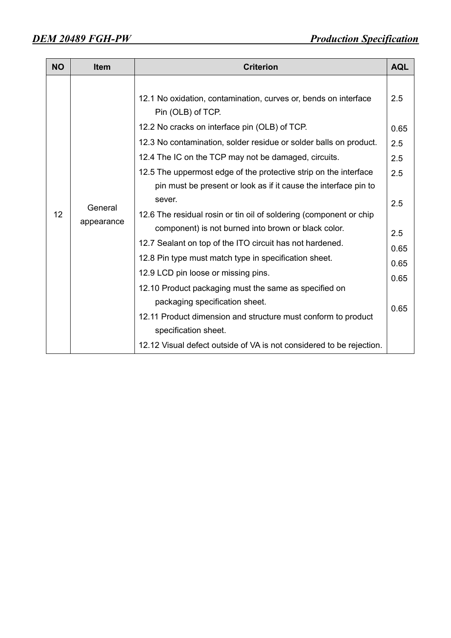| <b>NO</b> | <b>Item</b>           | <b>Criterion</b>                                                                                                                                                                                                                                                                                                                                                                                                                                                                                                                                                                                                                                                                                                                                                                                                                                                                                 | <b>AQL</b>                                                                     |
|-----------|-----------------------|--------------------------------------------------------------------------------------------------------------------------------------------------------------------------------------------------------------------------------------------------------------------------------------------------------------------------------------------------------------------------------------------------------------------------------------------------------------------------------------------------------------------------------------------------------------------------------------------------------------------------------------------------------------------------------------------------------------------------------------------------------------------------------------------------------------------------------------------------------------------------------------------------|--------------------------------------------------------------------------------|
| 12        | General<br>appearance | 12.1 No oxidation, contamination, curves or, bends on interface<br>Pin (OLB) of TCP.<br>12.2 No cracks on interface pin (OLB) of TCP.<br>12.3 No contamination, solder residue or solder balls on product.<br>12.4 The IC on the TCP may not be damaged, circuits.<br>12.5 The uppermost edge of the protective strip on the interface<br>pin must be present or look as if it cause the interface pin to<br>sever.<br>12.6 The residual rosin or tin oil of soldering (component or chip<br>component) is not burned into brown or black color.<br>12.7 Sealant on top of the ITO circuit has not hardened.<br>12.8 Pin type must match type in specification sheet.<br>12.9 LCD pin loose or missing pins.<br>12.10 Product packaging must the same as specified on<br>packaging specification sheet.<br>12.11 Product dimension and structure must conform to product<br>specification sheet. | 2.5<br>0.65<br>2.5<br>2.5<br>2.5<br>2.5<br>2.5<br>0.65<br>0.65<br>0.65<br>0.65 |
|           |                       | 12.12 Visual defect outside of VA is not considered to be rejection.                                                                                                                                                                                                                                                                                                                                                                                                                                                                                                                                                                                                                                                                                                                                                                                                                             |                                                                                |